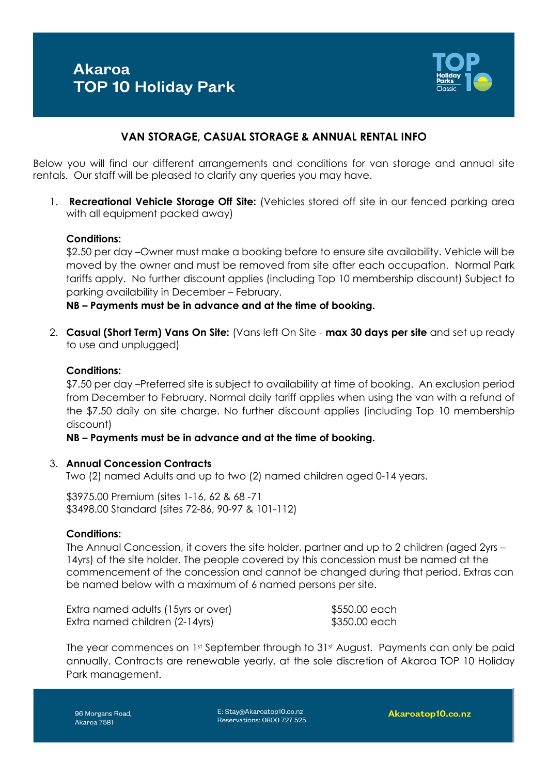

## **VAN STORAGE, CASUAL STORAGE & ANNUAL RENTAL INFO**

Below you will find our different arrangements and conditions for van storage and annual site rentals. Our staff will be pleased to clarify any queries you may have.

1. **Recreational Vehicle Storage Off Site:** (Vehicles stored off site in our fenced parking area with all equipment packed away)

#### **Conditions:**

\$2.50 per day –Owner must make a booking before to ensure site availability. Vehicle will be moved by the owner and must be removed from site after each occupation. Normal Park tariffs apply. No further discount applies (including Top 10 membership discount) Subject to parking availability in December – February.

**NB – Payments must be in advance and at the time of booking.** 

2. **Casual (Short Term) Vans On Site:** (Vans left On Site - **max 30 days per site** and set up ready to use and unplugged)

### **Conditions:**

\$7.50 per day –Preferred site is subject to availability at time of booking. An exclusion period from December to February. Normal daily tariff applies when using the van with a refund of the \$7.50 daily on site charge. No further discount applies (including Top 10 membership discount)

#### **NB – Payments must be in advance and at the time of booking.**

#### 3. **Annual Concession Contracts**

Two (2) named Adults and up to two (2) named children aged 0-14 years.

\$3975.00 Premium (sites 1-16, 62 & 68 -71 \$3498.00 Standard (sites 72-86, 90-97 & 101-112)

#### **Conditions:**

The Annual Concession, it covers the site holder, partner and up to 2 children (aged 2yrs – 14yrs) of the site holder. The people covered by this concession must be named at the commencement of the concession and cannot be changed during that period. Extras can be named below with a maximum of 6 named persons per site.

| Extra named adults (15yrs or over) |  |
|------------------------------------|--|
| Extra named children (2-14yrs)     |  |

 $$550.00$  each \$350.00 each

The year commences on 1st September through to 31st August. Payments can only be paid annually. Contracts are renewable yearly, at the sole discretion of Akaroa TOP 10 Holiday Park management.

96 Morgans Road, Akaroa 7581

E: Stay@Akaroatop10.co.nz Reservations: 0800 727 525

Akaroatop10.co.nz